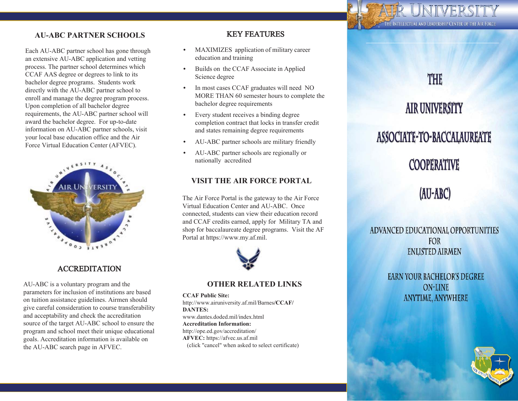

### **AU-ABC PARTNER SCHOOLS**

Each AU-ABC partner school has gone through an extensive AU-ABC application and vetting process. The partner school determines which CCAF AAS degree or degrees to link to its bachelor degree programs. Students work directly with the AU-ABC partner school to enroll and manage the degree program process. Upon completion of all bachelor degree requirements, the AU-ABC partner school will award the bachelor degree. For up-to-date information on AU-ABC partner schools, visit your local base education office and the Air Force Virtual Education Center (AFVEC).



### ACCREDITATION

AU-ABC is a voluntary program and the parameters for inclusion of institutions are based on tuition assistance guidelines. Airmen should give careful consideration to course transferability and acceptability and check the accreditation source of the target AU-ABC school to ensure the program and school meet their unique educational goals. Accreditation information is available on the AU-ABC search page in AFVEC.

### KEY FEATURES

- $\bullet$  MAXIMIZES application of military career education and training
- $\bullet$  Builds on the CCAF Associate in Applied Science degree
- $\bullet$  In most cases CCAF graduates will need NO MORE THAN 60 semester hours to complete thebachelor degree requirements
- $\bullet$  Every student receives a binding degree completion contract that locks in transfer creditand states remaining degree requirements
- $\bullet$ AU-ABC partner schools are military friendly
- $\bullet$  AU-ABC partner schools are regionally or nationally accredited

### **VISIT THE AIR FORCE PORTAL**

The Air Force Portal is the gateway to the Air Force Virtual Education Center and AU-ABC. Once connected, students can view their education record and CCAF credits earned, apply for Military TA and shop for baccalaureate degree programs. Visit the AF Portal at https://www.my.af.mil.



### **OTHER RELATED LINKS**

**CCAF Public Site:** http://www.airuniversity.af.mil/Barnes**/CCAF/ DANTES:** www.dantes.doded.mil/index.html**Accreditation Information:** http://ope.ed.gov/accreditation/ **AFVEC:**https://afvec.us.af.mil(click "cancel" when asked to select certificate)

### **THE**

# **AIR UNIVERSITY**

### ASSOCIATE-TO-BACCALAUREATE

### **COOPERATIVE**

### (AU-ABC)

ADVANCED EDUCATIONAL OPPORTUNITIES FOR **ENLISTED AIRMEN** 

> **EARN YOUR BACHELOR'S DEGREE ON-LINE ANYTIME, ANYWHERE**